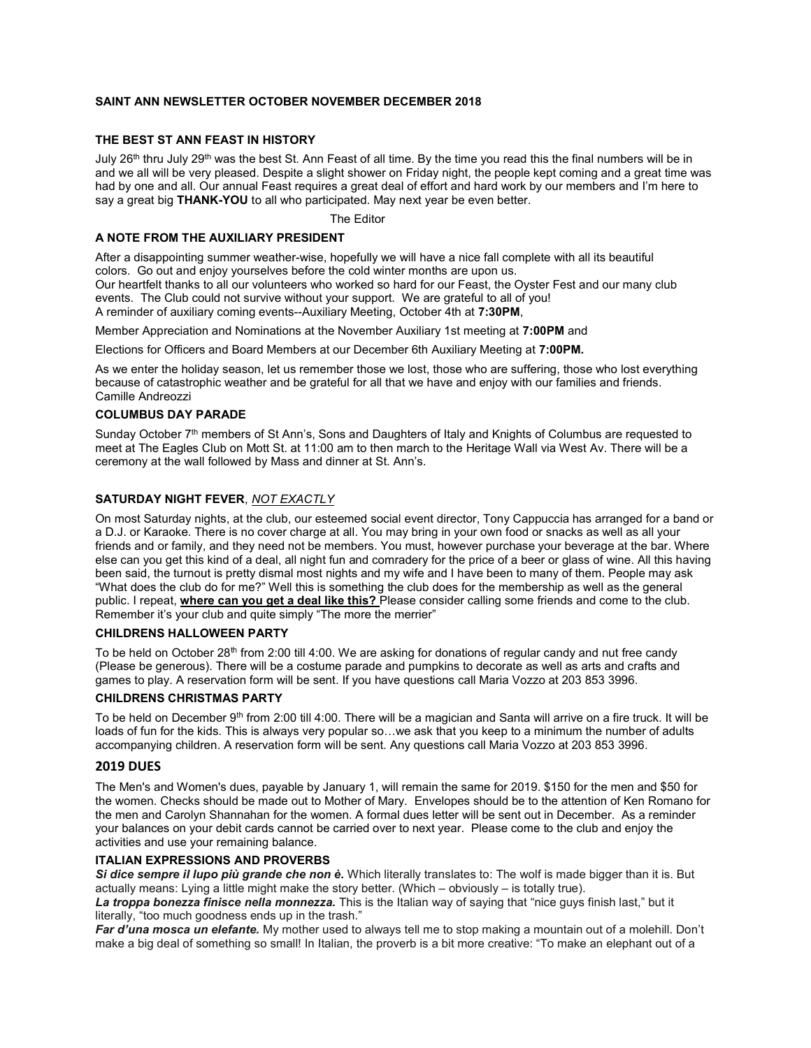## SAINT ANN NEWSLETTER OCTOBER NOVEMBER DECEMBER 2018

## THE BEST ST ANN FEAST IN HISTORY

July 26<sup>th</sup> thru July 29<sup>th</sup> was the best St. Ann Feast of all time. By the time you read this the final numbers will be in and we all will be very pleased. Despite a slight shower on Friday night, the people kept coming and a great time was had by one and all. Our annual Feast requires a great deal of effort and hard work by our members and I'm here to say a great big THANK-YOU to all who participated. May next year be even better.

The Editor

#### A NOTE FROM THE AUXILIARY PRESIDENT

After a disappointing summer weather-wise, hopefully we will have a nice fall complete with all its beautiful colors. Go out and enjoy yourselves before the cold winter months are upon us. Our heartfelt thanks to all our volunteers who worked so hard for our Feast, the Oyster Fest and our many club events. The Club could not survive without your support. We are grateful to all of you! A reminder of auxiliary coming events--Auxiliary Meeting, October 4th at 7:30PM,

Member Appreciation and Nominations at the November Auxiliary 1st meeting at 7:00PM and

Elections for Officers and Board Members at our December 6th Auxiliary Meeting at 7:00PM.

As we enter the holiday season, let us remember those we lost, those who are suffering, those who lost everything because of catastrophic weather and be grateful for all that we have and enjoy with our families and friends. Camille Andreozzi

#### COLUMBUS DAY PARADE

Sunday October 7<sup>th</sup> members of St Ann's, Sons and Daughters of Italy and Knights of Columbus are requested to meet at The Eagles Club on Mott St. at 11:00 am to then march to the Heritage Wall via West Av. There will be a ceremony at the wall followed by Mass and dinner at St. Ann's.

## SATURDAY NIGHT FEVER, NOT EXACTLY

On most Saturday nights, at the club, our esteemed social event director, Tony Cappuccia has arranged for a band or a D.J. or Karaoke. There is no cover charge at all. You may bring in your own food or snacks as well as all your friends and or family, and they need not be members. You must, however purchase your beverage at the bar. Where else can you get this kind of a deal, all night fun and comradery for the price of a beer or glass of wine. All this having been said, the turnout is pretty dismal most nights and my wife and I have been to many of them. People may ask "What does the club do for me?" Well this is something the club does for the membership as well as the general public. I repeat, where can you get a deal like this? Please consider calling some friends and come to the club. Remember it's your club and quite simply "The more the merrier"

#### CHILDRENS HALLOWEEN PARTY

To be held on October 28<sup>th</sup> from 2:00 till 4:00. We are asking for donations of regular candy and nut free candy (Please be generous). There will be a costume parade and pumpkins to decorate as well as arts and crafts and games to play. A reservation form will be sent. If you have questions call Maria Vozzo at 203 853 3996.

## CHILDRENS CHRISTMAS PARTY

To be held on December  $9<sup>th</sup>$  from 2:00 till 4:00. There will be a magician and Santa will arrive on a fire truck. It will be loads of fun for the kids. This is always very popular so…we ask that you keep to a minimum the number of adults accompanying children. A reservation form will be sent. Any questions call Maria Vozzo at 203 853 3996.

#### 2019 DUES

The Men's and Women's dues, payable by January 1, will remain the same for 2019. \$150 for the men and \$50 for the women. Checks should be made out to Mother of Mary. Envelopes should be to the attention of Ken Romano for the men and Carolyn Shannahan for the women. A formal dues letter will be sent out in December. As a reminder your balances on your debit cards cannot be carried over to next year. Please come to the club and enjoy the activities and use your remaining balance.

#### ITALIAN EXPRESSIONS AND PROVERBS

Si dice sempre il lupo più grande che non è. Which literally translates to: The wolf is made bigger than it is. But actually means: Lying a little might make the story better. (Which – obviously – is totally true).

La troppa bonezza finisce nella monnezza. This is the Italian way of saying that "nice guys finish last," but it literally, "too much goodness ends up in the trash."

Far d'una mosca un elefante. My mother used to always tell me to stop making a mountain out of a molehill. Don't make a big deal of something so small! In Italian, the proverb is a bit more creative: "To make an elephant out of a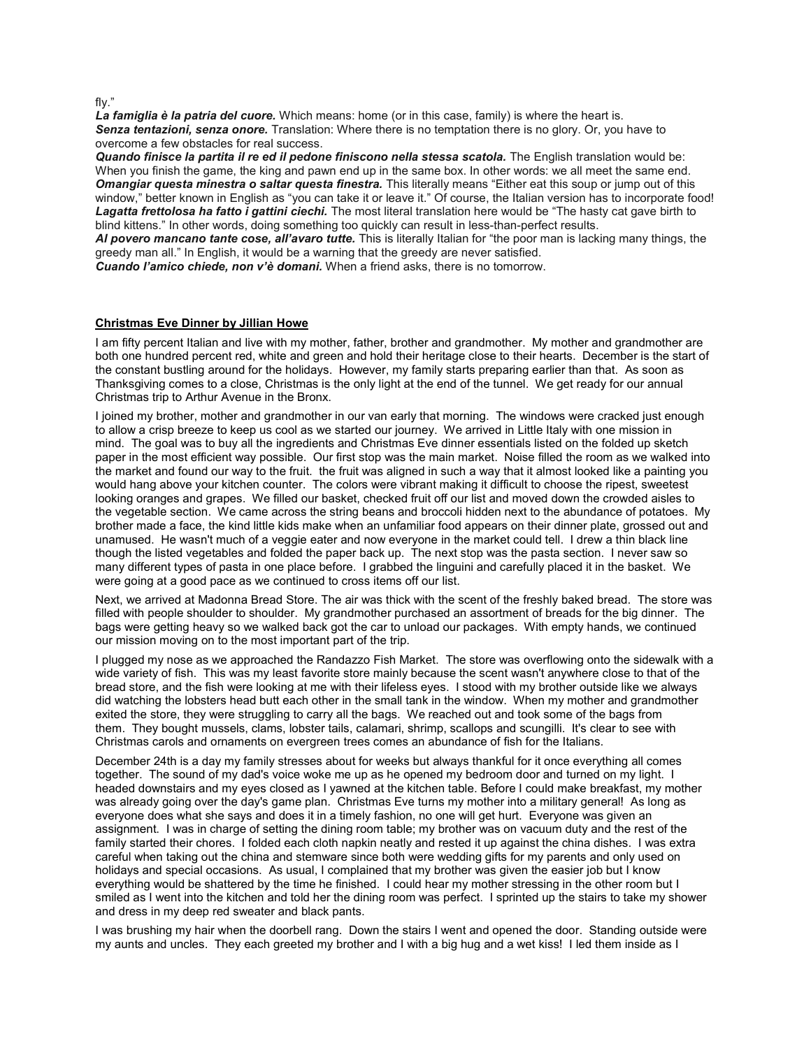fly."

La famiglia è la patria del cuore. Which means: home (or in this case, family) is where the heart is. Senza tentazioni, senza onore. Translation: Where there is no temptation there is no glory. Or, you have to overcome a few obstacles for real success.

Quando finisce la partita il re ed il pedone finiscono nella stessa scatola. The English translation would be: When you finish the game, the king and pawn end up in the same box. In other words: we all meet the same end. Omangiar questa minestra o saltar questa finestra. This literally means "Either eat this soup or jump out of this window," better known in English as "you can take it or leave it." Of course, the Italian version has to incorporate food! Lagatta frettolosa ha fatto i gattini ciechi. The most literal translation here would be "The hasty cat gave birth to blind kittens." In other words, doing something too quickly can result in less-than-perfect results.

AI povero mancano tante cose, all'avaro tutte. This is literally Italian for "the poor man is lacking many things, the greedy man all." In English, it would be a warning that the greedy are never satisfied.

Cuando l'amico chiede, non v'è domani. When a friend asks, there is no tomorrow.

## Christmas Eve Dinner by Jillian Howe

I am fifty percent Italian and live with my mother, father, brother and grandmother. My mother and grandmother are both one hundred percent red, white and green and hold their heritage close to their hearts. December is the start of the constant bustling around for the holidays. However, my family starts preparing earlier than that. As soon as Thanksgiving comes to a close, Christmas is the only light at the end of the tunnel. We get ready for our annual Christmas trip to Arthur Avenue in the Bronx.

I joined my brother, mother and grandmother in our van early that morning. The windows were cracked just enough to allow a crisp breeze to keep us cool as we started our journey. We arrived in Little Italy with one mission in mind. The goal was to buy all the ingredients and Christmas Eve dinner essentials listed on the folded up sketch paper in the most efficient way possible. Our first stop was the main market. Noise filled the room as we walked into the market and found our way to the fruit. the fruit was aligned in such a way that it almost looked like a painting you would hang above your kitchen counter. The colors were vibrant making it difficult to choose the ripest, sweetest looking oranges and grapes. We filled our basket, checked fruit off our list and moved down the crowded aisles to the vegetable section. We came across the string beans and broccoli hidden next to the abundance of potatoes. My brother made a face, the kind little kids make when an unfamiliar food appears on their dinner plate, grossed out and unamused. He wasn't much of a veggie eater and now everyone in the market could tell. I drew a thin black line though the listed vegetables and folded the paper back up. The next stop was the pasta section. I never saw so many different types of pasta in one place before. I grabbed the linguini and carefully placed it in the basket. We were going at a good pace as we continued to cross items off our list.

Next, we arrived at Madonna Bread Store. The air was thick with the scent of the freshly baked bread. The store was filled with people shoulder to shoulder. My grandmother purchased an assortment of breads for the big dinner. The bags were getting heavy so we walked back got the car to unload our packages. With empty hands, we continued our mission moving on to the most important part of the trip.

I plugged my nose as we approached the Randazzo Fish Market. The store was overflowing onto the sidewalk with a wide variety of fish. This was my least favorite store mainly because the scent wasn't anywhere close to that of the bread store, and the fish were looking at me with their lifeless eyes. I stood with my brother outside like we always did watching the lobsters head butt each other in the small tank in the window. When my mother and grandmother exited the store, they were struggling to carry all the bags. We reached out and took some of the bags from them. They bought mussels, clams, lobster tails, calamari, shrimp, scallops and scungilli. It's clear to see with Christmas carols and ornaments on evergreen trees comes an abundance of fish for the Italians.

December 24th is a day my family stresses about for weeks but always thankful for it once everything all comes together. The sound of my dad's voice woke me up as he opened my bedroom door and turned on my light. I headed downstairs and my eyes closed as I yawned at the kitchen table. Before I could make breakfast, my mother was already going over the day's game plan. Christmas Eve turns my mother into a military general! As long as everyone does what she says and does it in a timely fashion, no one will get hurt. Everyone was given an assignment. I was in charge of setting the dining room table; my brother was on vacuum duty and the rest of the family started their chores. I folded each cloth napkin neatly and rested it up against the china dishes. I was extra careful when taking out the china and stemware since both were wedding gifts for my parents and only used on holidays and special occasions. As usual, I complained that my brother was given the easier job but I know everything would be shattered by the time he finished. I could hear my mother stressing in the other room but I smiled as I went into the kitchen and told her the dining room was perfect. I sprinted up the stairs to take my shower and dress in my deep red sweater and black pants.

I was brushing my hair when the doorbell rang. Down the stairs I went and opened the door. Standing outside were my aunts and uncles. They each greeted my brother and I with a big hug and a wet kiss! I led them inside as I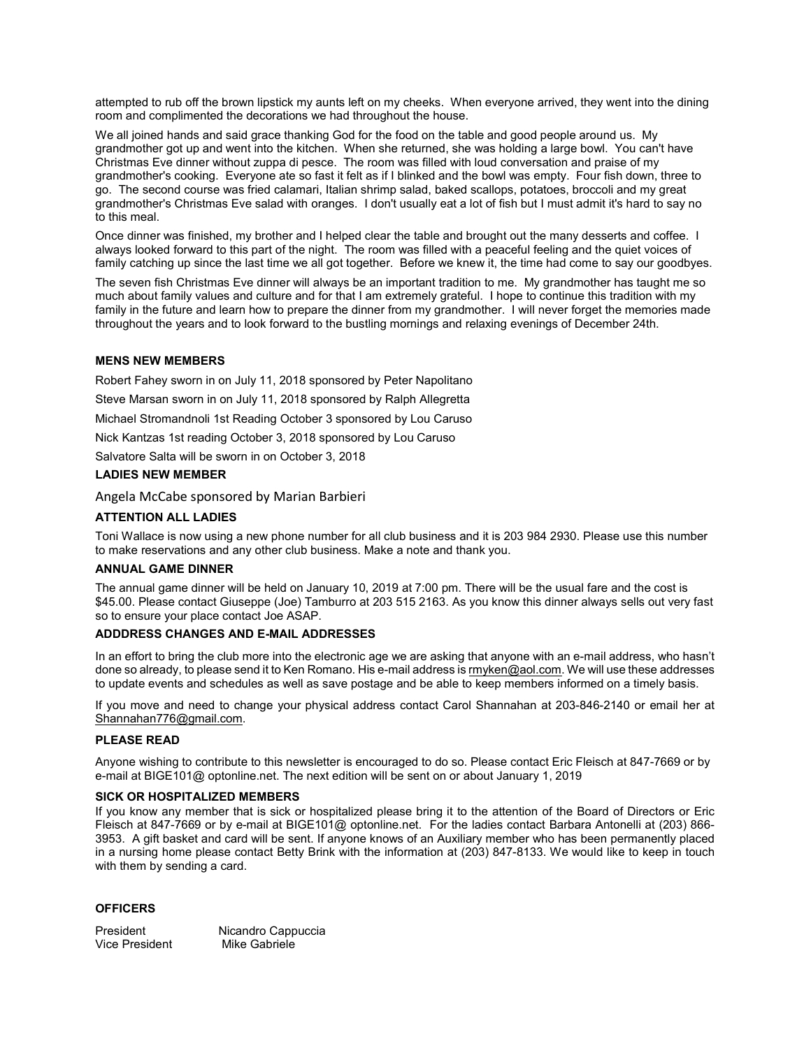attempted to rub off the brown lipstick my aunts left on my cheeks. When everyone arrived, they went into the dining room and complimented the decorations we had throughout the house.

We all joined hands and said grace thanking God for the food on the table and good people around us. My grandmother got up and went into the kitchen. When she returned, she was holding a large bowl. You can't have Christmas Eve dinner without zuppa di pesce. The room was filled with loud conversation and praise of my grandmother's cooking. Everyone ate so fast it felt as if I blinked and the bowl was empty. Four fish down, three to go. The second course was fried calamari, Italian shrimp salad, baked scallops, potatoes, broccoli and my great grandmother's Christmas Eve salad with oranges. I don't usually eat a lot of fish but I must admit it's hard to say no to this meal.

Once dinner was finished, my brother and I helped clear the table and brought out the many desserts and coffee. I always looked forward to this part of the night. The room was filled with a peaceful feeling and the quiet voices of family catching up since the last time we all got together. Before we knew it, the time had come to say our goodbyes.

The seven fish Christmas Eve dinner will always be an important tradition to me. My grandmother has taught me so much about family values and culture and for that I am extremely grateful. I hope to continue this tradition with my family in the future and learn how to prepare the dinner from my grandmother. I will never forget the memories made throughout the years and to look forward to the bustling mornings and relaxing evenings of December 24th.

## MENS NEW MEMBERS

Robert Fahey sworn in on July 11, 2018 sponsored by Peter Napolitano

Steve Marsan sworn in on July 11, 2018 sponsored by Ralph Allegretta

Michael Stromandnoli 1st Reading October 3 sponsored by Lou Caruso

Nick Kantzas 1st reading October 3, 2018 sponsored by Lou Caruso

Salvatore Salta will be sworn in on October 3, 2018

## LADIES NEW MEMBER

Angela McCabe sponsored by Marian Barbieri

## ATTENTION ALL LADIES

Toni Wallace is now using a new phone number for all club business and it is 203 984 2930. Please use this number to make reservations and any other club business. Make a note and thank you.

#### ANNUAL GAME DINNER

The annual game dinner will be held on January 10, 2019 at 7:00 pm. There will be the usual fare and the cost is \$45.00. Please contact Giuseppe (Joe) Tamburro at 203 515 2163. As you know this dinner always sells out very fast so to ensure your place contact Joe ASAP.

## ADDDRESS CHANGES AND E-MAIL ADDRESSES

In an effort to bring the club more into the electronic age we are asking that anyone with an e-mail address, who hasn't done so already, to please send it to Ken Romano. His e-mail address is rmyken@aol.com. We will use these addresses to update events and schedules as well as save postage and be able to keep members informed on a timely basis.

If you move and need to change your physical address contact Carol Shannahan at 203-846-2140 or email her at Shannahan776@gmail.com.

#### PLEASE READ

Anyone wishing to contribute to this newsletter is encouraged to do so. Please contact Eric Fleisch at 847-7669 or by e-mail at BIGE101@ optonline.net. The next edition will be sent on or about January 1, 2019

#### SICK OR HOSPITALIZED MEMBERS

If you know any member that is sick or hospitalized please bring it to the attention of the Board of Directors or Eric Fleisch at 847-7669 or by e-mail at BIGE101@ optonline.net. For the ladies contact Barbara Antonelli at (203) 866- 3953. A gift basket and card will be sent. If anyone knows of an Auxiliary member who has been permanently placed in a nursing home please contact Betty Brink with the information at (203) 847-8133. We would like to keep in touch with them by sending a card.

#### **OFFICERS**

President Micandro Cappuccia<br>Vice President Mike Gabriele Vice President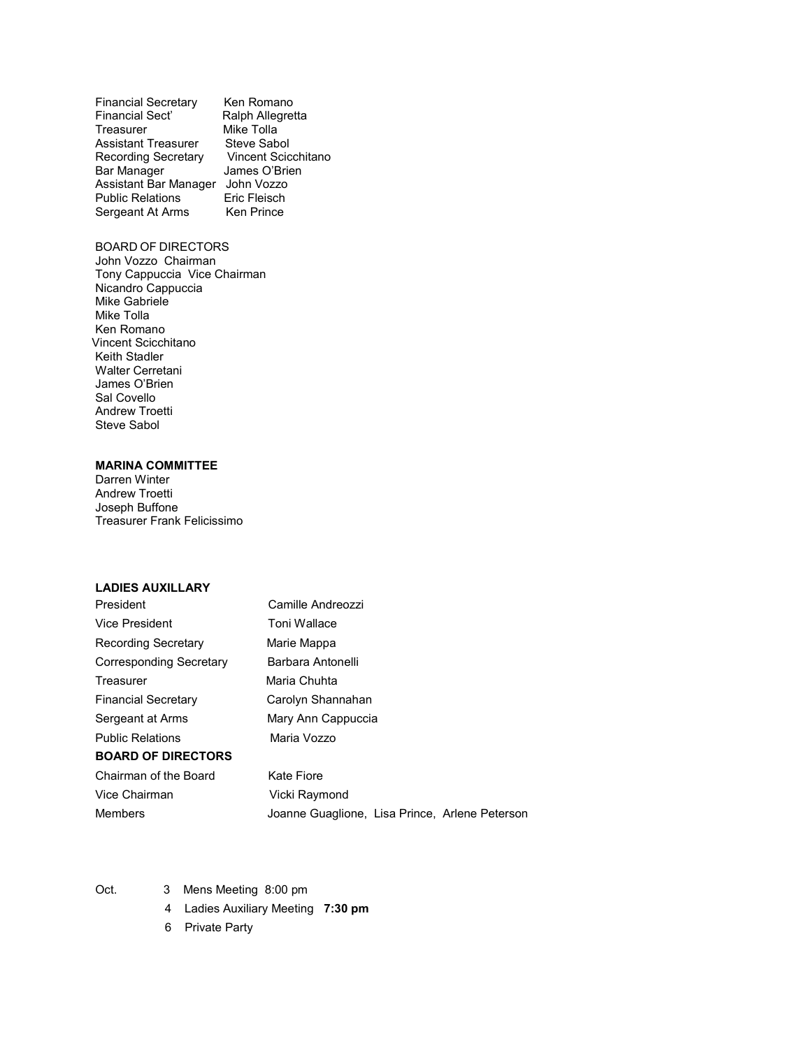| <b>Financial Secretary</b> | Ken Romano          |
|----------------------------|---------------------|
| <b>Financial Sect'</b>     | Ralph Allegretta    |
| Treasurer                  | Mike Tolla          |
| <b>Assistant Treasurer</b> | Steve Sabol         |
| <b>Recording Secretary</b> | Vincent Scicchitano |
| <b>Bar Manager</b>         | James O'Brien       |
| Assistant Bar Manager      | John Vozzo          |
| <b>Public Relations</b>    | Eric Fleisch        |
| Sergeant At Arms           | <b>Ken Prince</b>   |

# BOARD OF DIRECTORS

John Vozzo Chairman Tony Cappuccia Vice Chairman Nicandro Cappuccia Mike Gabriele Mike Tolla Ken Romano Vincent Scicchitano Keith Stadler Walter Cerretani James O'Brien Sal Covello Andrew Troetti Steve Sabol

# MARINA COMMITTEE

Darren Winter Andrew Troetti Joseph Buffone Treasurer Frank Felicissimo

#### LADIES AUXILLARY

| President                  | Camille Andreozzi                              |
|----------------------------|------------------------------------------------|
| <b>Vice President</b>      | Toni Wallace                                   |
| Recording Secretary        | Marie Mappa                                    |
| Corresponding Secretary    | Barbara Antonelli                              |
| Treasurer                  | Maria Chuhta                                   |
| <b>Financial Secretary</b> | Carolyn Shannahan                              |
| Sergeant at Arms           | Mary Ann Cappuccia                             |
| <b>Public Relations</b>    | Maria Vozzo                                    |
| <b>BOARD OF DIRECTORS</b>  |                                                |
| Chairman of the Board      | Kate Fiore                                     |
| Vice Chairman              | Vicki Raymond                                  |
| <b>Members</b>             | Joanne Guaglione, Lisa Prince, Arlene Peterson |

- Oct. 3 Mens Meeting 8:00 pm
	- 4 Ladies Auxiliary Meeting 7:30 pm
	- 6 Private Party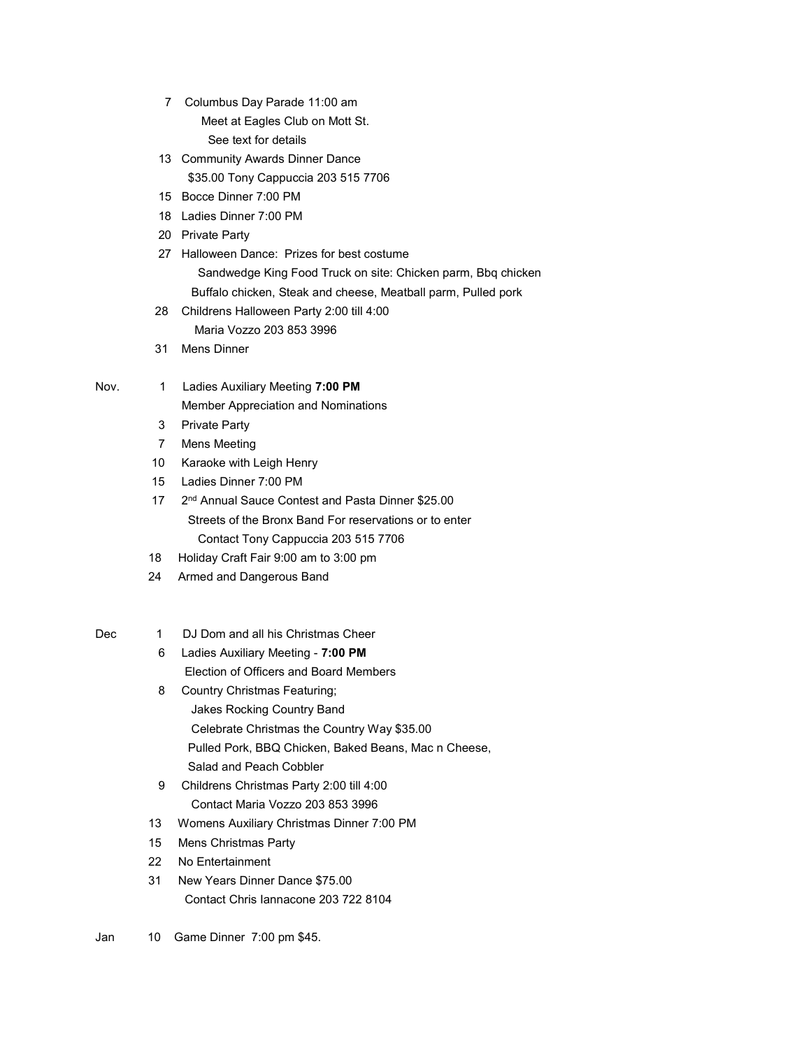- 7 Columbus Day Parade 11:00 am Meet at Eagles Club on Mott St. See text for details
- 13 Community Awards Dinner Dance \$35.00 Tony Cappuccia 203 515 7706
- 15 Bocce Dinner 7:00 PM
- 18 Ladies Dinner 7:00 PM
- 20 Private Party
- 27 Halloween Dance: Prizes for best costume Sandwedge King Food Truck on site: Chicken parm, Bbq chicken Buffalo chicken, Steak and cheese, Meatball parm, Pulled pork
- 28 Childrens Halloween Party 2:00 till 4:00 Maria Vozzo 203 853 3996
- 31 Mens Dinner

# Nov. 1 Ladies Auxiliary Meeting 7:00 PM

Member Appreciation and Nominations

- 3 Private Party
- 7 Mens Meeting
- 10 Karaoke with Leigh Henry
- 15 Ladies Dinner 7:00 PM
- 17 2<sup>nd</sup> Annual Sauce Contest and Pasta Dinner \$25.00 Streets of the Bronx Band For reservations or to enter Contact Tony Cappuccia 203 515 7706
- 18 Holiday Craft Fair 9:00 am to 3:00 pm
- 24 Armed and Dangerous Band

# Dec 1 DJ Dom and all his Christmas Cheer

- 6 Ladies Auxiliary Meeting 7:00 PM Election of Officers and Board Members
- 8 Country Christmas Featuring; Jakes Rocking Country Band Celebrate Christmas the Country Way \$35.00 Pulled Pork, BBQ Chicken, Baked Beans, Mac n Cheese, Salad and Peach Cobbler
- 9 Childrens Christmas Party 2:00 till 4:00 Contact Maria Vozzo 203 853 3996
- 13 Womens Auxiliary Christmas Dinner 7:00 PM
- 15 Mens Christmas Party
- 22 No Entertainment
- 31 New Years Dinner Dance \$75.00 Contact Chris Iannacone 203 722 8104
- Jan 10 Game Dinner 7:00 pm \$45.